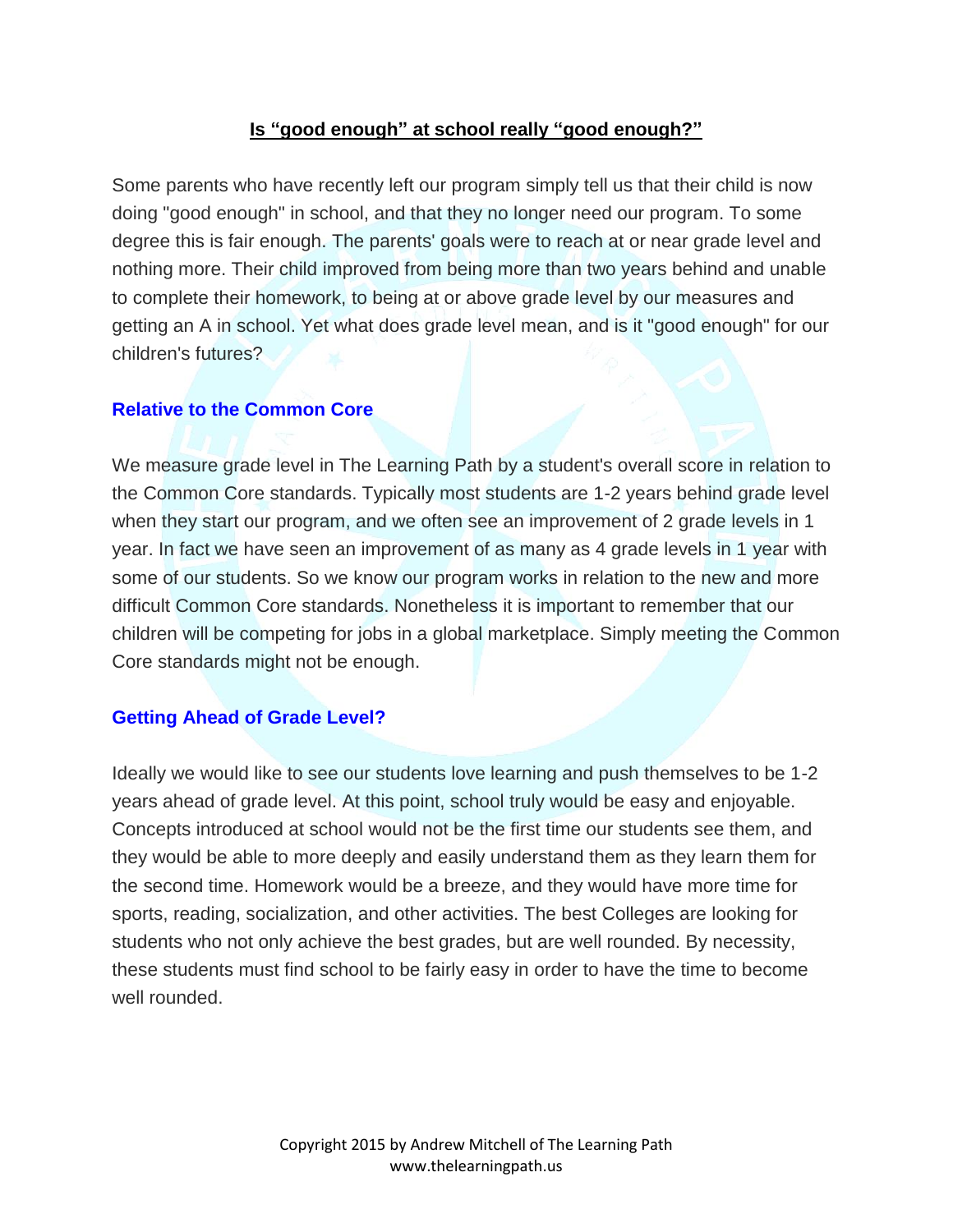## **Is "good enough" at school really "good enough?"**

Some parents who have recently left our program simply tell us that their child is now doing "good enough" in school, and that they no longer need our program. To some degree this is fair enough. The parents' goals were to reach at or near grade level and nothing more. Their child improved from being more than two years behind and unable to complete their homework, to being at or above grade level by our measures and getting an A in school. Yet what does grade level mean, and is it "good enough" for our children's futures?

#### **Relative to the Common Core**

We measure grade level in The Learning Path by a student's overall score in relation to the Common Core standards. Typically most students are 1-2 years behind grade level when they start our program, and we often see an improvement of 2 grade levels in 1 year. In fact we have seen an improvement of as many as 4 grade levels in 1 year with some of our students. So we know our program works in relation to the new and more difficult Common Core standards. Nonetheless it is important to remember that our children will be competing for jobs in a global marketplace. Simply meeting the Common Core standards might not be enough.

### **Getting Ahead of Grade Level?**

Ideally we would like to see our students love learning and push themselves to be 1-2 years ahead of grade level. At this point, school truly would be easy and enjoyable. Concepts introduced at school would not be the first time our students see them, and they would be able to more deeply and easily understand them as they learn them for the second time. Homework would be a breeze, and they would have more time for sports, reading, socialization, and other activities. The best Colleges are looking for students who not only achieve the best grades, but are well rounded. By necessity, these students must find school to be fairly easy in order to have the time to become well rounded.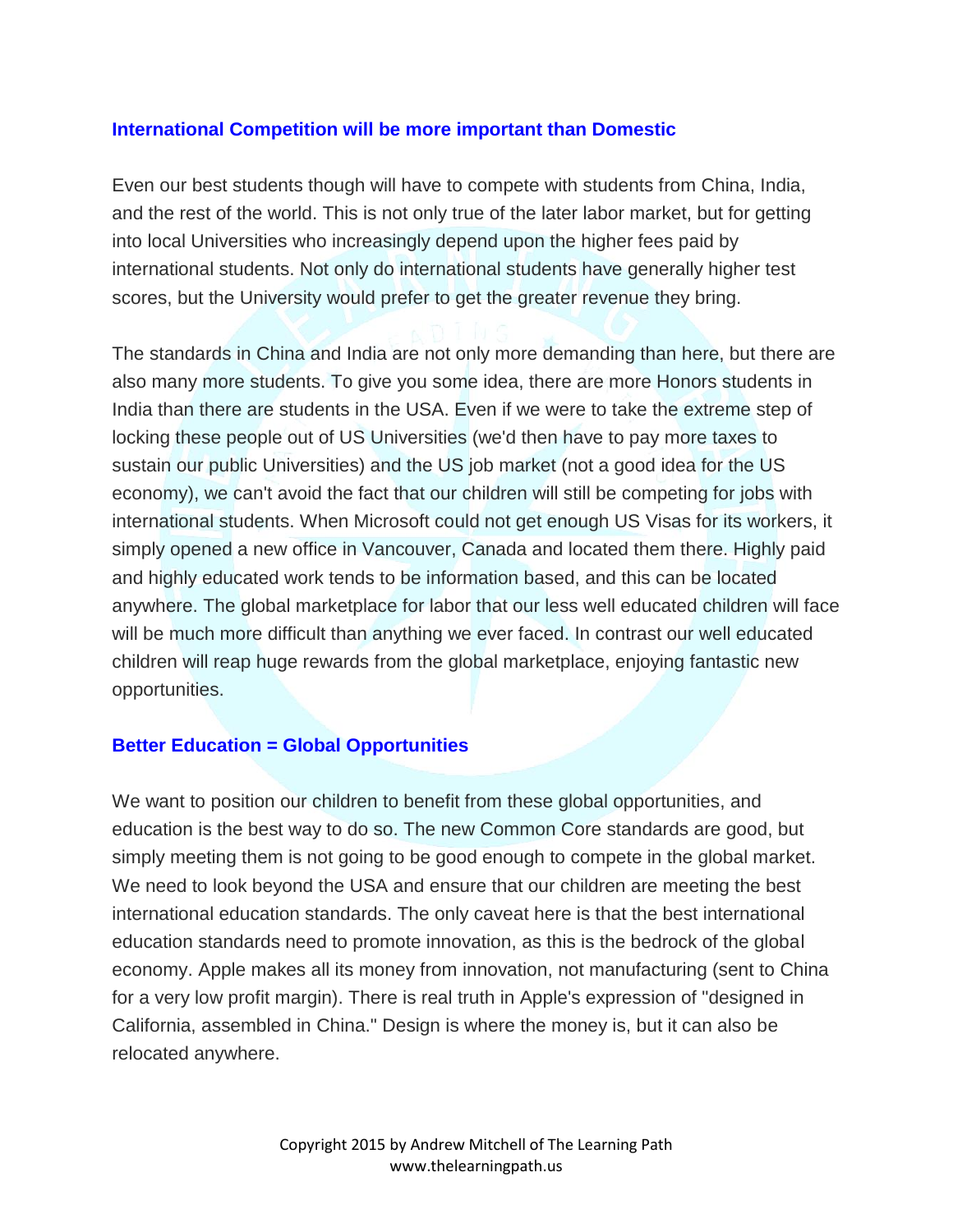## **International Competition will be more important than Domestic**

Even our best students though will have to compete with students from China, India, and the rest of the world. This is not only true of the later labor market, but for getting into local Universities who increasingly depend upon the higher fees paid by international students. Not only do international students have generally higher test scores, but the University would prefer to get the greater revenue they bring.

The standards in China and India are not only more demanding than here, but there are also many more students. To give you some idea, there are more Honors students in India than there are students in the USA. Even if we were to take the extreme step of locking these people out of US Universities (we'd then have to pay more taxes to sustain our public Universities) and the US job market (not a good idea for the US economy), we can't avoid the fact that our children will still be competing for jobs with international students. When Microsoft could not get enough US Visas for its workers, it simply opened a new office in Vancouver, Canada and located them there. Highly paid and highly educated work tends to be information based, and this can be located anywhere. The global marketplace for labor that our less well educated children will face will be much more difficult than anything we ever faced. In contrast our well educated children will reap huge rewards from the global marketplace, enjoying fantastic new opportunities.

### **Better Education = Global Opportunities**

We want to position our children to benefit from these global opportunities, and education is the best way to do so. The new Common Core standards are good, but simply meeting them is not going to be good enough to compete in the global market. We need to look beyond the USA and ensure that our children are meeting the best international education standards. The only caveat here is that the best international education standards need to promote innovation, as this is the bedrock of the global economy. Apple makes all its money from innovation, not manufacturing (sent to China for a very low profit margin). There is real truth in Apple's expression of "designed in California, assembled in China." Design is where the money is, but it can also be relocated anywhere.